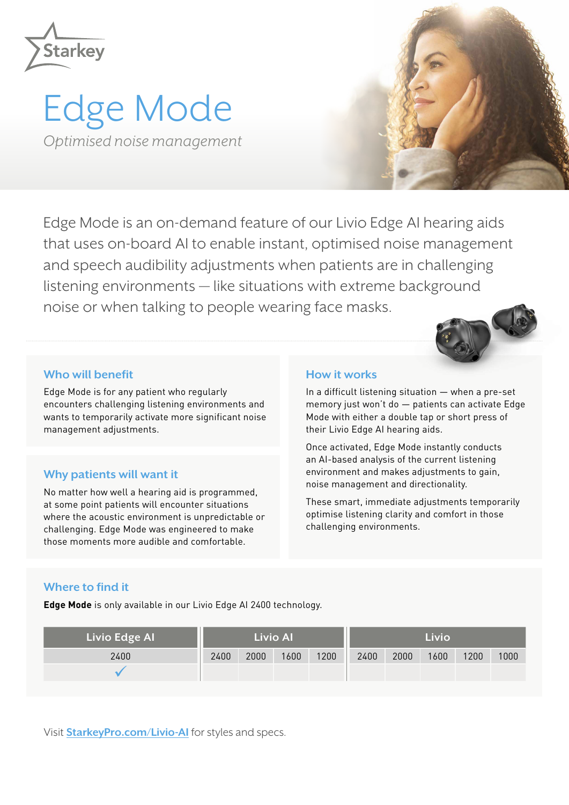

# Edge Mode *Optimised noise management*



Edge Mode is an on-demand feature of our Livio Edge AI hearing aids that uses on-board AI to enable instant, optimised noise management and speech audibility adjustments when patients are in challenging listening environments — like situations with extreme background noise or when talking to people wearing face masks.

### **Who will benefit**

Edge Mode is for any patient who regularly encounters challenging listening environments and wants to temporarily activate more significant noise management adjustments.

# **Why patients will want it**

No matter how well a hearing aid is programmed, at some point patients will encounter situations where the acoustic environment is unpredictable or challenging. Edge Mode was engineered to make those moments more audible and comfortable.

### **How it works**

In a difficult listening situation — when a pre-set memory just won't do — patients can activate Edge Mode with either a double tap or short press of their Livio Edge AI hearing aids.

Once activated, Edge Mode instantly conducts an AI-based analysis of the current listening environment and makes adjustments to gain, noise management and directionality.

These smart, immediate adjustments temporarily optimise listening clarity and comfort in those challenging environments.

# **Where to find it**

**Edge Mode** is only available in our Livio Edge AI 2400 technology.

| Livio Edge Al | <b>Livio Al</b> |      |      |      | Livio |      |      |      |      |
|---------------|-----------------|------|------|------|-------|------|------|------|------|
| 2400          | 2400            | 2000 | 1600 | 1200 | 2400  | 2000 | 1600 | 1200 | 1000 |
|               |                 |      |      |      |       |      |      |      |      |

Visit **[StarkeyPro.com/Livio-AI](http://home.starkeypro.com/st-en)** for styles and specs.